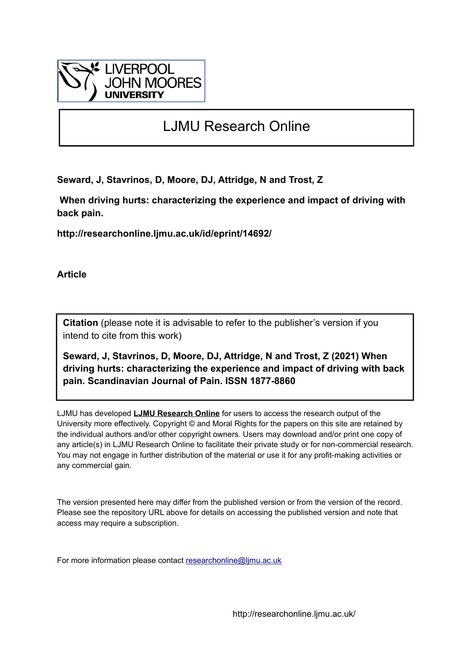

# LJMU Research Online

**Seward, J, Stavrinos, D, Moore, DJ, Attridge, N and Trost, Z**

 **When driving hurts: characterizing the experience and impact of driving with back pain.**

**http://researchonline.ljmu.ac.uk/id/eprint/14692/**

**Article**

**Citation** (please note it is advisable to refer to the publisher's version if you intend to cite from this work)

**Seward, J, Stavrinos, D, Moore, DJ, Attridge, N and Trost, Z (2021) When driving hurts: characterizing the experience and impact of driving with back pain. Scandinavian Journal of Pain. ISSN 1877-8860** 

LJMU has developed **[LJMU Research Online](http://researchonline.ljmu.ac.uk/)** for users to access the research output of the University more effectively. Copyright © and Moral Rights for the papers on this site are retained by the individual authors and/or other copyright owners. Users may download and/or print one copy of any article(s) in LJMU Research Online to facilitate their private study or for non-commercial research. You may not engage in further distribution of the material or use it for any profit-making activities or any commercial gain.

The version presented here may differ from the published version or from the version of the record. Please see the repository URL above for details on accessing the published version and note that access may require a subscription.

For more information please contact [researchonline@ljmu.ac.uk](mailto:researchonline@ljmu.ac.uk)

http://researchonline.ljmu.ac.uk/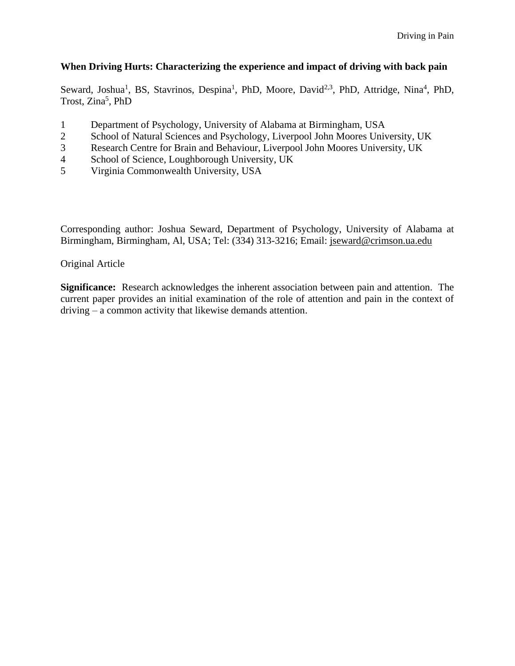# **When Driving Hurts: Characterizing the experience and impact of driving with back pain**

Seward, Joshua<sup>1</sup>, BS, Stavrinos, Despina<sup>1</sup>, PhD, Moore, David<sup>2,3</sup>, PhD, Attridge, Nina<sup>4</sup>, PhD, Trost, Zina<sup>5</sup>, PhD

- 1 Department of Psychology, University of Alabama at Birmingham, USA
- 2 School of Natural Sciences and Psychology, Liverpool John Moores University, UK
- 3 Research Centre for Brain and Behaviour, Liverpool John Moores University, UK
- 4 School of Science, Loughborough University, UK
- 5 Virginia Commonwealth University, USA

Corresponding author: Joshua Seward, Department of Psychology, University of Alabama at Birmingham, Birmingham, Al, USA; Tel: (334) 313-3216; Email: [jseward@crimson.ua.edu](mailto:jseward@crimson.ua.edu)

# Original Article

**Significance:** Research acknowledges the inherent association between pain and attention. The current paper provides an initial examination of the role of attention and pain in the context of driving – a common activity that likewise demands attention.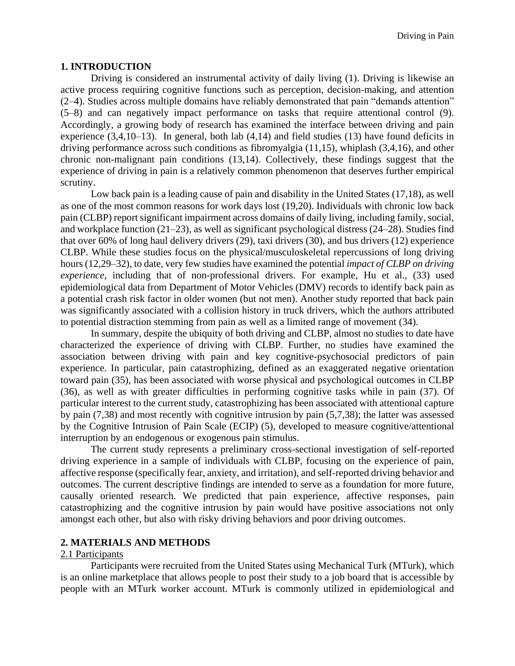#### **1. INTRODUCTION**

 Driving is considered an instrumental activity of daily living (1). Driving is likewise an active process requiring cognitive functions such as perception, decision-making, and attention (2–4). Studies across multiple domains have reliably demonstrated that pain "demands attention" (5–8) and can negatively impact performance on tasks that require attentional control (9). Accordingly, a growing body of research has examined the interface between driving and pain experience (3,4,10–13). In general, both lab (4,14) and field studies (13) have found deficits in driving performance across such conditions as fibromyalgia (11,15), whiplash (3,4,16), and other chronic non-malignant pain conditions (13,14). Collectively, these findings suggest that the experience of driving in pain is a relatively common phenomenon that deserves further empirical scrutiny.

Low back pain is a leading cause of pain and disability in the United States (17,18), as well as one of the most common reasons for work days lost (19,20). Individuals with chronic low back pain (CLBP) report significant impairment across domains of daily living, including family, social, and workplace function (21–23), as well as significant psychological distress (24–28). Studies find that over 60% of long haul delivery drivers (29), taxi drivers (30), and bus drivers (12) experience CLBP. While these studies focus on the physical/musculoskeletal repercussions of long driving hours (12,29–32), to date, very few studies have examined the potential *impact of CLBP on driving experience*, including that of non-professional drivers. For example, Hu et al., (33) used epidemiological data from Department of Motor Vehicles (DMV) records to identify back pain as a potential crash risk factor in older women (but not men). Another study reported that back pain was significantly associated with a collision history in truck drivers, which the authors attributed to potential distraction stemming from pain as well as a limited range of movement (34).

In summary, despite the ubiquity of both driving and CLBP, almost no studies to date have characterized the experience of driving with CLBP. Further, no studies have examined the association between driving with pain and key cognitive-psychosocial predictors of pain experience. In particular, pain catastrophizing, defined as an exaggerated negative orientation toward pain (35), has been associated with worse physical and psychological outcomes in CLBP (36), as well as with greater difficulties in performing cognitive tasks while in pain (37). Of particular interest to the current study, catastrophizing has been associated with attentional capture by pain (7,38) and most recently with cognitive intrusion by pain (5,7,38); the latter was assessed by the Cognitive Intrusion of Pain Scale (ECIP) (5), developed to measure cognitive/attentional interruption by an endogenous or exogenous pain stimulus.

The current study represents a preliminary cross-sectional investigation of self-reported driving experience in a sample of individuals with CLBP, focusing on the experience of pain, affective response (specifically fear, anxiety, and irritation), and self-reported driving behavior and outcomes. The current descriptive findings are intended to serve as a foundation for more future, causally oriented research. We predicted that pain experience, affective responses, pain catastrophizing and the cognitive intrusion by pain would have positive associations not only amongst each other, but also with risky driving behaviors and poor driving outcomes.

## **2. MATERIALS AND METHODS**

## 2.1 Participants

Participants were recruited from the United States using Mechanical Turk (MTurk), which is an online marketplace that allows people to post their study to a job board that is accessible by people with an MTurk worker account. MTurk is commonly utilized in epidemiological and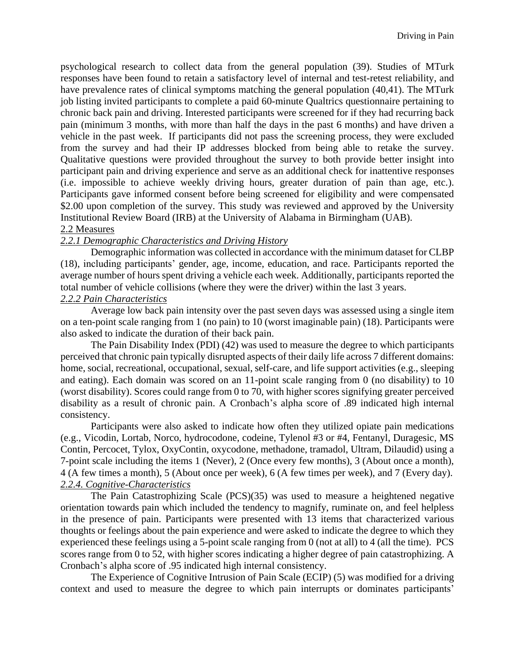psychological research to collect data from the general population (39). Studies of MTurk responses have been found to retain a satisfactory level of internal and test-retest reliability, and have prevalence rates of clinical symptoms matching the general population (40,41). The MTurk job listing invited participants to complete a paid 60-minute Qualtrics questionnaire pertaining to chronic back pain and driving. Interested participants were screened for if they had recurring back pain (minimum 3 months, with more than half the days in the past 6 months) and have driven a vehicle in the past week. If participants did not pass the screening process, they were excluded from the survey and had their IP addresses blocked from being able to retake the survey. Qualitative questions were provided throughout the survey to both provide better insight into participant pain and driving experience and serve as an additional check for inattentive responses (i.e. impossible to achieve weekly driving hours, greater duration of pain than age, etc.). Participants gave informed consent before being screened for eligibility and were compensated \$2.00 upon completion of the survey. This study was reviewed and approved by the University Institutional Review Board (IRB) at the University of Alabama in Birmingham (UAB).

# 2.2 Measures

# *2.2.1 Demographic Characteristics and Driving History*

Demographic information was collected in accordance with the minimum dataset for CLBP (18), including participants' gender, age, income, education, and race. Participants reported the average number of hours spent driving a vehicle each week. Additionally, participants reported the total number of vehicle collisions (where they were the driver) within the last 3 years.

## *2.2.2 Pain Characteristics*

Average low back pain intensity over the past seven days was assessed using a single item on a ten-point scale ranging from 1 (no pain) to 10 (worst imaginable pain) (18). Participants were also asked to indicate the duration of their back pain.

The Pain Disability Index (PDI) (42) was used to measure the degree to which participants perceived that chronic pain typically disrupted aspects of their daily life across 7 different domains: home, social, recreational, occupational, sexual, self-care, and life support activities (e.g., sleeping and eating). Each domain was scored on an 11-point scale ranging from 0 (no disability) to 10 (worst disability). Scores could range from 0 to 70, with higher scores signifying greater perceived disability as a result of chronic pain. A Cronbach's alpha score of .89 indicated high internal consistency.

Participants were also asked to indicate how often they utilized opiate pain medications (e.g., Vicodin, Lortab, Norco, hydrocodone, codeine, Tylenol #3 or #4, Fentanyl, Duragesic, MS Contin, Percocet, Tylox, OxyContin, oxycodone, methadone, tramadol, Ultram, Dilaudid) using a 7-point scale including the items 1 (Never), 2 (Once every few months), 3 (About once a month), 4 (A few times a month), 5 (About once per week), 6 (A few times per week), and 7 (Every day). *2.2.4. Cognitive-Characteristics*

The Pain Catastrophizing Scale (PCS)(35) was used to measure a heightened negative orientation towards pain which included the tendency to magnify, ruminate on, and feel helpless in the presence of pain. Participants were presented with 13 items that characterized various thoughts or feelings about the pain experience and were asked to indicate the degree to which they experienced these feelings using a 5-point scale ranging from 0 (not at all) to 4 (all the time). PCS scores range from 0 to 52, with higher scores indicating a higher degree of pain catastrophizing. A Cronbach's alpha score of .95 indicated high internal consistency.

The Experience of Cognitive Intrusion of Pain Scale (ECIP) (5) was modified for a driving context and used to measure the degree to which pain interrupts or dominates participants'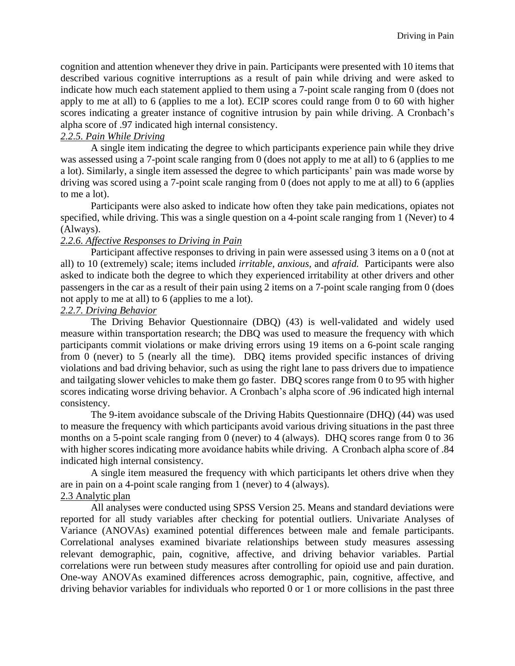cognition and attention whenever they drive in pain. Participants were presented with 10 items that described various cognitive interruptions as a result of pain while driving and were asked to indicate how much each statement applied to them using a 7-point scale ranging from 0 (does not apply to me at all) to 6 (applies to me a lot). ECIP scores could range from 0 to 60 with higher scores indicating a greater instance of cognitive intrusion by pain while driving. A Cronbach's alpha score of .97 indicated high internal consistency.

# *2.2.5. Pain While Driving*

A single item indicating the degree to which participants experience pain while they drive was assessed using a 7-point scale ranging from 0 (does not apply to me at all) to 6 (applies to me a lot). Similarly, a single item assessed the degree to which participants' pain was made worse by driving was scored using a 7-point scale ranging from 0 (does not apply to me at all) to 6 (applies to me a lot).

Participants were also asked to indicate how often they take pain medications, opiates not specified, while driving. This was a single question on a 4-point scale ranging from 1 (Never) to 4 (Always).

## *2.2.6. Affective Responses to Driving in Pain*

Participant affective responses to driving in pain were assessed using 3 items on a 0 (not at all) to 10 (extremely) scale; items included *irritable, anxious,* and *afraid.* Participants were also asked to indicate both the degree to which they experienced irritability at other drivers and other passengers in the car as a result of their pain using 2 items on a 7-point scale ranging from 0 (does not apply to me at all) to 6 (applies to me a lot).

## *2.2.7. Driving Behavior*

The Driving Behavior Questionnaire (DBQ) (43) is well-validated and widely used measure within transportation research; the DBQ was used to measure the frequency with which participants commit violations or make driving errors using 19 items on a 6-point scale ranging from 0 (never) to 5 (nearly all the time). DBQ items provided specific instances of driving violations and bad driving behavior, such as using the right lane to pass drivers due to impatience and tailgating slower vehicles to make them go faster. DBQ scores range from 0 to 95 with higher scores indicating worse driving behavior. A Cronbach's alpha score of .96 indicated high internal consistency.

The 9-item avoidance subscale of the Driving Habits Questionnaire (DHQ) (44) was used to measure the frequency with which participants avoid various driving situations in the past three months on a 5-point scale ranging from 0 (never) to 4 (always). DHQ scores range from 0 to 36 with higher scores indicating more avoidance habits while driving. A Cronbach alpha score of .84 indicated high internal consistency.

A single item measured the frequency with which participants let others drive when they are in pain on a 4-point scale ranging from 1 (never) to 4 (always).

# 2.3 Analytic plan

All analyses were conducted using SPSS Version 25. Means and standard deviations were reported for all study variables after checking for potential outliers. Univariate Analyses of Variance (ANOVAs) examined potential differences between male and female participants. Correlational analyses examined bivariate relationships between study measures assessing relevant demographic, pain, cognitive, affective, and driving behavior variables. Partial correlations were run between study measures after controlling for opioid use and pain duration. One-way ANOVAs examined differences across demographic, pain, cognitive, affective, and driving behavior variables for individuals who reported 0 or 1 or more collisions in the past three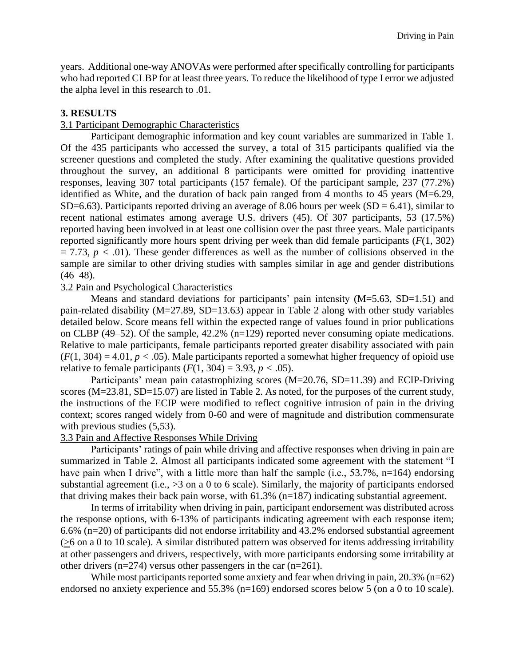years. Additional one-way ANOVAs were performed after specifically controlling for participants who had reported CLBP for at least three years. To reduce the likelihood of type I error we adjusted the alpha level in this research to .01.

# **3. RESULTS**

# 3.1 Participant Demographic Characteristics

Participant demographic information and key count variables are summarized in Table 1. Of the 435 participants who accessed the survey, a total of 315 participants qualified via the screener questions and completed the study. After examining the qualitative questions provided throughout the survey, an additional 8 participants were omitted for providing inattentive responses, leaving 307 total participants (157 female). Of the participant sample, 237 (77.2%) identified as White, and the duration of back pain ranged from 4 months to 45 years (M=6.29, SD=6.63). Participants reported driving an average of 8.06 hours per week (SD = 6.41), similar to recent national estimates among average U.S. drivers (45). Of 307 participants, 53 (17.5%) reported having been involved in at least one collision over the past three years. Male participants reported significantly more hours spent driving per week than did female participants (*F*(1, 302)  $= 7.73$ ,  $p < .01$ ). These gender differences as well as the number of collisions observed in the sample are similar to other driving studies with samples similar in age and gender distributions  $(46-48).$ 

## 3.2 Pain and Psychological Characteristics

Means and standard deviations for participants' pain intensity (M=5.63, SD=1.51) and pain-related disability (M=27.89, SD=13.63) appear in Table 2 along with other study variables detailed below. Score means fell within the expected range of values found in prior publications on CLBP (49–52). Of the sample, 42.2% (n=129) reported never consuming opiate medications. Relative to male participants, female participants reported greater disability associated with pain  $(F(1, 304) = 4.01, p < .05)$ . Male participants reported a somewhat higher frequency of opioid use relative to female participants  $(F(1, 304) = 3.93, p < .05)$ .

Participants' mean pain catastrophizing scores (M=20.76, SD=11.39) and ECIP-Driving scores (M=23.81, SD=15.07) are listed in Table 2. As noted, for the purposes of the current study, the instructions of the ECIP were modified to reflect cognitive intrusion of pain in the driving context; scores ranged widely from 0-60 and were of magnitude and distribution commensurate with previous studies  $(5,53)$ .

## 3.3 Pain and Affective Responses While Driving

Participants' ratings of pain while driving and affective responses when driving in pain are summarized in Table 2. Almost all participants indicated some agreement with the statement "I have pain when I drive", with a little more than half the sample (i.e., 53.7%, n=164) endorsing substantial agreement (i.e., >3 on a 0 to 6 scale). Similarly, the majority of participants endorsed that driving makes their back pain worse, with 61.3% (n=187) indicating substantial agreement.

In terms of irritability when driving in pain, participant endorsement was distributed across the response options, with 6-13% of participants indicating agreement with each response item; 6.6% (n=20) of participants did not endorse irritability and 43.2% endorsed substantial agreement (>6 on a 0 to 10 scale). A similar distributed pattern was observed for items addressing irritability at other passengers and drivers, respectively, with more participants endorsing some irritability at other drivers ( $n=274$ ) versus other passengers in the car ( $n=261$ ).

While most participants reported some anxiety and fear when driving in pain, 20.3% (n=62) endorsed no anxiety experience and 55.3% (n=169) endorsed scores below 5 (on a 0 to 10 scale).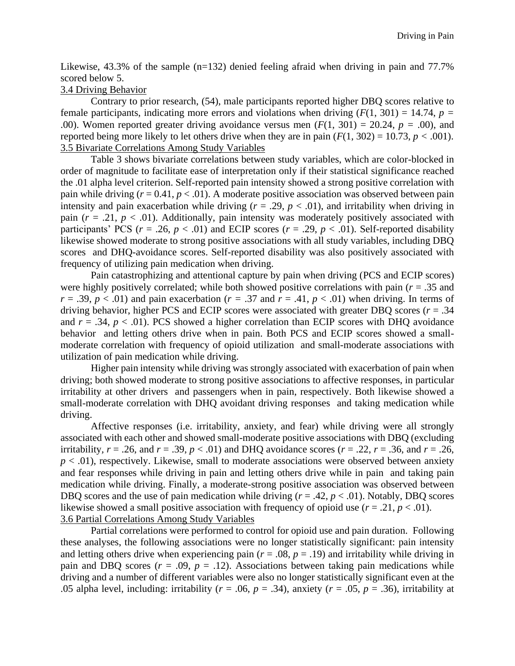Likewise,  $43.3\%$  of the sample (n=132) denied feeling afraid when driving in pain and 77.7% scored below 5.

#### 3.4 Driving Behavior

Contrary to prior research, (54), male participants reported higher DBQ scores relative to female participants, indicating more errors and violations when driving  $(F(1, 301) = 14.74, p =$ .00). Women reported greater driving avoidance versus men  $(F(1, 301) = 20.24, p = .00)$ , and reported being more likely to let others drive when they are in pain  $(F(1, 302) = 10.73, p < .001)$ . 3.5 Bivariate Correlations Among Study Variables

Table 3 shows bivariate correlations between study variables, which are color-blocked in order of magnitude to facilitate ease of interpretation only if their statistical significance reached the .01 alpha level criterion. Self-reported pain intensity showed a strong positive correlation with pain while driving  $(r = 0.41, p < .01)$ . A moderate positive association was observed between pain intensity and pain exacerbation while driving  $(r = .29, p < .01)$ , and irritability when driving in pain  $(r = .21, p < .01)$ . Additionally, pain intensity was moderately positively associated with participants' PCS ( $r = .26$ ,  $p < .01$ ) and ECIP scores ( $r = .29$ ,  $p < .01$ ). Self-reported disability likewise showed moderate to strong positive associations with all study variables, including DBQ scores and DHQ-avoidance scores. Self-reported disability was also positively associated with frequency of utilizing pain medication when driving.

Pain catastrophizing and attentional capture by pain when driving (PCS and ECIP scores) were highly positively correlated; while both showed positive correlations with pain ( $r = .35$ ) and  $r = .39$ ,  $p < .01$ ) and pain exacerbation ( $r = .37$  and  $r = .41$ ,  $p < .01$ ) when driving. In terms of driving behavior, higher PCS and ECIP scores were associated with greater DBQ scores ( $r = .34$ ) and  $r = .34$ ,  $p < .01$ ). PCS showed a higher correlation than ECIP scores with DHQ avoidance behavior and letting others drive when in pain. Both PCS and ECIP scores showed a smallmoderate correlation with frequency of opioid utilization and small-moderate associations with utilization of pain medication while driving.

Higher pain intensity while driving was strongly associated with exacerbation of pain when driving; both showed moderate to strong positive associations to affective responses, in particular irritability at other drivers and passengers when in pain, respectively. Both likewise showed a small-moderate correlation with DHQ avoidant driving responses and taking medication while driving.

Affective responses (i.e. irritability, anxiety, and fear) while driving were all strongly associated with each other and showed small-moderate positive associations with DBQ (excluding irritability,  $r = .26$ , and  $r = .39$ ,  $p < .01$ ) and DHQ avoidance scores ( $r = .22$ ,  $r = .36$ , and  $r = .26$ ,  $p < .01$ ), respectively. Likewise, small to moderate associations were observed between anxiety and fear responses while driving in pain and letting others drive while in pain and taking pain medication while driving. Finally, a moderate-strong positive association was observed between DBQ scores and the use of pain medication while driving  $(r = .42, p < .01)$ . Notably, DBQ scores likewise showed a small positive association with frequency of opioid use  $(r = .21, p < .01)$ . 3.6 Partial Correlations Among Study Variables

Partial correlations were performed to control for opioid use and pain duration. Following these analyses, the following associations were no longer statistically significant: pain intensity and letting others drive when experiencing pain ( $r = .08$ ,  $p = .19$ ) and irritability while driving in pain and DBQ scores  $(r = .09, p = .12)$ . Associations between taking pain medications while driving and a number of different variables were also no longer statistically significant even at the .05 alpha level, including: irritability ( $r = .06$ ,  $p = .34$ ), anxiety ( $r = .05$ ,  $p = .36$ ), irritability at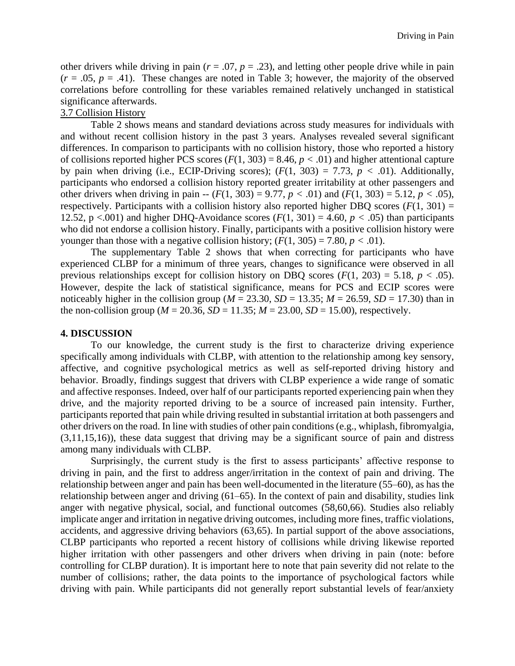other drivers while driving in pain ( $r = .07$ ,  $p = .23$ ), and letting other people drive while in pain  $(r = .05, p = .41)$ . These changes are noted in Table 3; however, the majority of the observed correlations before controlling for these variables remained relatively unchanged in statistical significance afterwards.

## 3.7 Collision History

Table 2 shows means and standard deviations across study measures for individuals with and without recent collision history in the past 3 years. Analyses revealed several significant differences. In comparison to participants with no collision history, those who reported a history of collisions reported higher PCS scores  $(F(1, 303) = 8.46, p < .01)$  and higher attentional capture by pain when driving (i.e., ECIP-Driving scores);  $(F(1, 303) = 7.73, p < .01)$ . Additionally, participants who endorsed a collision history reported greater irritability at other passengers and other drivers when driving in pain  $-$  ( $F(1, 303) = 9.77$ ,  $p < .01$ ) and ( $F(1, 303) = 5.12$ ,  $p < .05$ ), respectively. Participants with a collision history also reported higher DBQ scores  $(F(1, 301) =$ 12.52, p <.001) and higher DHQ-Avoidance scores ( $F(1, 301) = 4.60$ ,  $p < .05$ ) than participants who did not endorse a collision history. Finally, participants with a positive collision history were younger than those with a negative collision history;  $(F(1, 305) = 7.80, p < .01)$ .

The supplementary Table 2 shows that when correcting for participants who have experienced CLBP for a minimum of three years, changes to significance were observed in all previous relationships except for collision history on DBQ scores  $(F(1, 203) = 5.18, p < .05)$ . However, despite the lack of statistical significance, means for PCS and ECIP scores were noticeably higher in the collision group ( $M = 23.30$ ,  $SD = 13.35$ ;  $M = 26.59$ ,  $SD = 17.30$ ) than in the non-collision group ( $M = 20.36$ ,  $SD = 11.35$ ;  $M = 23.00$ ,  $SD = 15.00$ ), respectively.

#### **4. DISCUSSION**

To our knowledge, the current study is the first to characterize driving experience specifically among individuals with CLBP, with attention to the relationship among key sensory, affective, and cognitive psychological metrics as well as self-reported driving history and behavior. Broadly, findings suggest that drivers with CLBP experience a wide range of somatic and affective responses. Indeed, over half of our participants reported experiencing pain when they drive, and the majority reported driving to be a source of increased pain intensity. Further, participants reported that pain while driving resulted in substantial irritation at both passengers and other drivers on the road. In line with studies of other pain conditions (e.g., whiplash, fibromyalgia, (3,11,15,16)), these data suggest that driving may be a significant source of pain and distress among many individuals with CLBP.

Surprisingly, the current study is the first to assess participants' affective response to driving in pain, and the first to address anger/irritation in the context of pain and driving. The relationship between anger and pain has been well-documented in the literature (55–60), as has the relationship between anger and driving (61–65). In the context of pain and disability, studies link anger with negative physical, social, and functional outcomes (58,60,66). Studies also reliably implicate anger and irritation in negative driving outcomes, including more fines, traffic violations, accidents, and aggressive driving behaviors (63,65). In partial support of the above associations, CLBP participants who reported a recent history of collisions while driving likewise reported higher irritation with other passengers and other drivers when driving in pain (note: before controlling for CLBP duration). It is important here to note that pain severity did not relate to the number of collisions; rather, the data points to the importance of psychological factors while driving with pain. While participants did not generally report substantial levels of fear/anxiety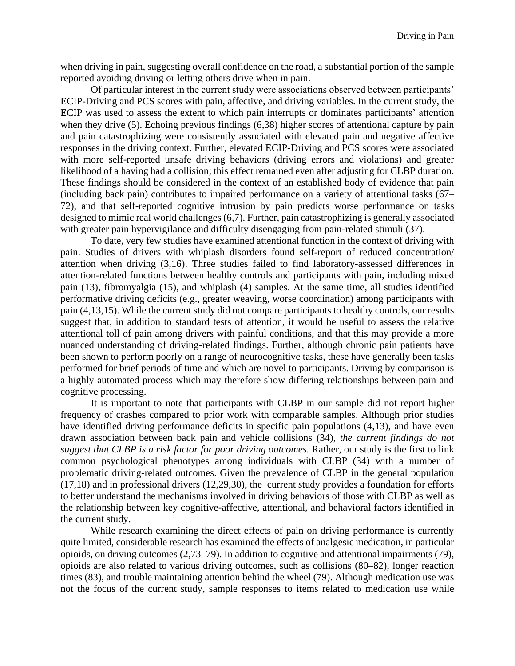when driving in pain, suggesting overall confidence on the road, a substantial portion of the sample reported avoiding driving or letting others drive when in pain.

Of particular interest in the current study were associations observed between participants' ECIP-Driving and PCS scores with pain, affective, and driving variables. In the current study, the ECIP was used to assess the extent to which pain interrupts or dominates participants' attention when they drive (5). Echoing previous findings (6,38) higher scores of attentional capture by pain and pain catastrophizing were consistently associated with elevated pain and negative affective responses in the driving context. Further, elevated ECIP-Driving and PCS scores were associated with more self-reported unsafe driving behaviors (driving errors and violations) and greater likelihood of a having had a collision; this effect remained even after adjusting for CLBP duration. These findings should be considered in the context of an established body of evidence that pain (including back pain) contributes to impaired performance on a variety of attentional tasks (67– 72), and that self-reported cognitive intrusion by pain predicts worse performance on tasks designed to mimic real world challenges (6,7). Further, pain catastrophizing is generally associated with greater pain hypervigilance and difficulty disengaging from pain-related stimuli (37).

To date, very few studies have examined attentional function in the context of driving with pain. Studies of drivers with whiplash disorders found self-report of reduced concentration/ attention when driving (3,16). Three studies failed to find laboratory-assessed differences in attention-related functions between healthy controls and participants with pain, including mixed pain (13), fibromyalgia (15), and whiplash (4) samples. At the same time, all studies identified performative driving deficits (e.g., greater weaving, worse coordination) among participants with pain (4,13,15). While the current study did not compare participants to healthy controls, our results suggest that, in addition to standard tests of attention, it would be useful to assess the relative attentional toll of pain among drivers with painful conditions, and that this may provide a more nuanced understanding of driving-related findings. Further, although chronic pain patients have been shown to perform poorly on a range of neurocognitive tasks, these have generally been tasks performed for brief periods of time and which are novel to participants. Driving by comparison is a highly automated process which may therefore show differing relationships between pain and cognitive processing.

It is important to note that participants with CLBP in our sample did not report higher frequency of crashes compared to prior work with comparable samples. Although prior studies have identified driving performance deficits in specific pain populations (4,13), and have even drawn association between back pain and vehicle collisions (34), *the current findings do not suggest that CLBP is a risk factor for poor driving outcomes.* Rather, our study is the first to link common psychological phenotypes among individuals with CLBP (34) with a number of problematic driving-related outcomes. Given the prevalence of CLBP in the general population (17,18) and in professional drivers (12,29,30), the current study provides a foundation for efforts to better understand the mechanisms involved in driving behaviors of those with CLBP as well as the relationship between key cognitive-affective, attentional, and behavioral factors identified in the current study.

While research examining the direct effects of pain on driving performance is currently quite limited, considerable research has examined the effects of analgesic medication, in particular opioids, on driving outcomes (2,73–79). In addition to cognitive and attentional impairments (79), opioids are also related to various driving outcomes, such as collisions (80–82), longer reaction times (83), and trouble maintaining attention behind the wheel (79). Although medication use was not the focus of the current study, sample responses to items related to medication use while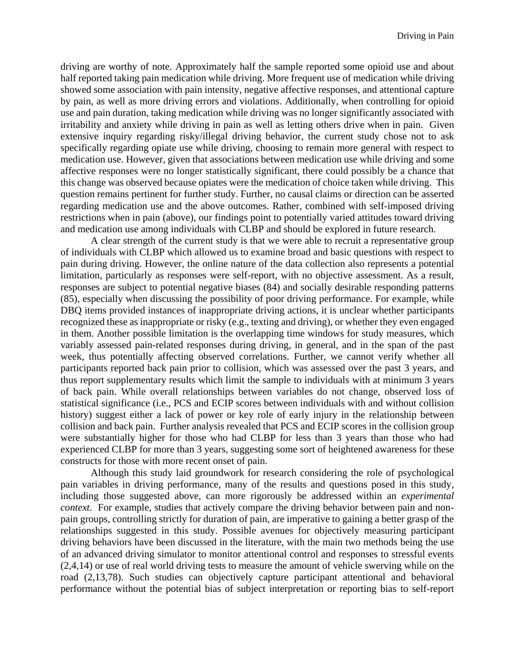driving are worthy of note. Approximately half the sample reported some opioid use and about half reported taking pain medication while driving. More frequent use of medication while driving showed some association with pain intensity, negative affective responses, and attentional capture by pain, as well as more driving errors and violations. Additionally, when controlling for opioid use and pain duration, taking medication while driving was no longer significantly associated with irritability and anxiety while driving in pain as well as letting others drive when in pain. Given extensive inquiry regarding risky/illegal driving behavior, the current study chose not to ask specifically regarding opiate use while driving, choosing to remain more general with respect to medication use. However, given that associations between medication use while driving and some affective responses were no longer statistically significant, there could possibly be a chance that this change was observed because opiates were the medication of choice taken while driving. This question remains pertinent for further study. Further, no causal claims or direction can be asserted regarding medication use and the above outcomes. Rather, combined with self-imposed driving restrictions when in pain (above), our findings point to potentially varied attitudes toward driving and medication use among individuals with CLBP and should be explored in future research.

A clear strength of the current study is that we were able to recruit a representative group of individuals with CLBP which allowed us to examine broad and basic questions with respect to pain during driving. However, the online nature of the data collection also represents a potential limitation, particularly as responses were self-report, with no objective assessment. As a result, responses are subject to potential negative biases (84) and socially desirable responding patterns (85), especially when discussing the possibility of poor driving performance. For example, while DBQ items provided instances of inappropriate driving actions, it is unclear whether participants recognized these as inappropriate or risky (e.g., texting and driving), or whether they even engaged in them. Another possible limitation is the overlapping time windows for study measures, which variably assessed pain-related responses during driving, in general, and in the span of the past week, thus potentially affecting observed correlations. Further, we cannot verify whether all participants reported back pain prior to collision, which was assessed over the past 3 years, and thus report supplementary results which limit the sample to individuals with at minimum 3 years of back pain. While overall relationships between variables do not change, observed loss of statistical significance (i.e., PCS and ECIP scores between individuals with and without collision history) suggest either a lack of power or key role of early injury in the relationship between collision and back pain. Further analysis revealed that PCS and ECIP scores in the collision group were substantially higher for those who had CLBP for less than 3 years than those who had experienced CLBP for more than 3 years, suggesting some sort of heightened awareness for these constructs for those with more recent onset of pain.

Although this study laid groundwork for research considering the role of psychological pain variables in driving performance, many of the results and questions posed in this study, including those suggested above, can more rigorously be addressed within an *experimental context*. For example, studies that actively compare the driving behavior between pain and nonpain groups, controlling strictly for duration of pain, are imperative to gaining a better grasp of the relationships suggested in this study. Possible avenues for objectively measuring participant driving behaviors have been discussed in the literature, with the main two methods being the use of an advanced driving simulator to monitor attentional control and responses to stressful events (2,4,14) or use of real world driving tests to measure the amount of vehicle swerving while on the road (2,13,78). Such studies can objectively capture participant attentional and behavioral performance without the potential bias of subject interpretation or reporting bias to self-report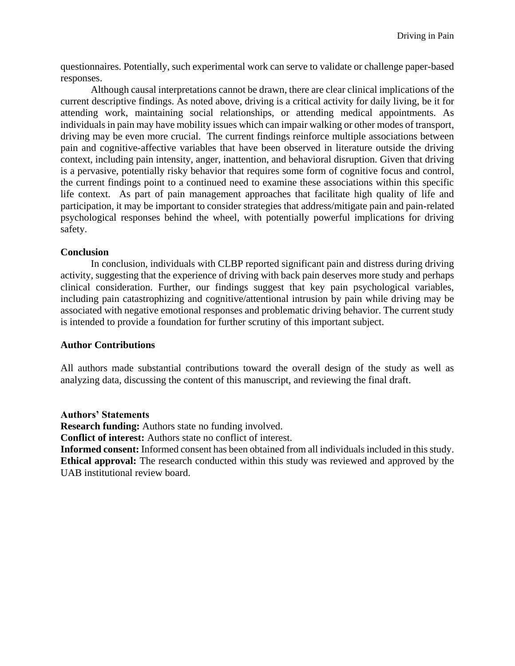questionnaires. Potentially, such experimental work can serve to validate or challenge paper-based responses.

Although causal interpretations cannot be drawn, there are clear clinical implications of the current descriptive findings. As noted above, driving is a critical activity for daily living, be it for attending work, maintaining social relationships, or attending medical appointments. As individuals in pain may have mobility issues which can impair walking or other modes of transport, driving may be even more crucial. The current findings reinforce multiple associations between pain and cognitive-affective variables that have been observed in literature outside the driving context, including pain intensity, anger, inattention, and behavioral disruption. Given that driving is a pervasive, potentially risky behavior that requires some form of cognitive focus and control, the current findings point to a continued need to examine these associations within this specific life context. As part of pain management approaches that facilitate high quality of life and participation, it may be important to consider strategies that address/mitigate pain and pain-related psychological responses behind the wheel, with potentially powerful implications for driving safety.

## **Conclusion**

In conclusion, individuals with CLBP reported significant pain and distress during driving activity, suggesting that the experience of driving with back pain deserves more study and perhaps clinical consideration. Further, our findings suggest that key pain psychological variables, including pain catastrophizing and cognitive/attentional intrusion by pain while driving may be associated with negative emotional responses and problematic driving behavior. The current study is intended to provide a foundation for further scrutiny of this important subject.

## **Author Contributions**

All authors made substantial contributions toward the overall design of the study as well as analyzing data, discussing the content of this manuscript, and reviewing the final draft.

#### **Authors' Statements**

**Research funding:** Authors state no funding involved.

**Conflict of interest:** Authors state no conflict of interest.

**Informed consent:** Informed consent has been obtained from all individuals included in this study. **Ethical approval:** The research conducted within this study was reviewed and approved by the UAB institutional review board.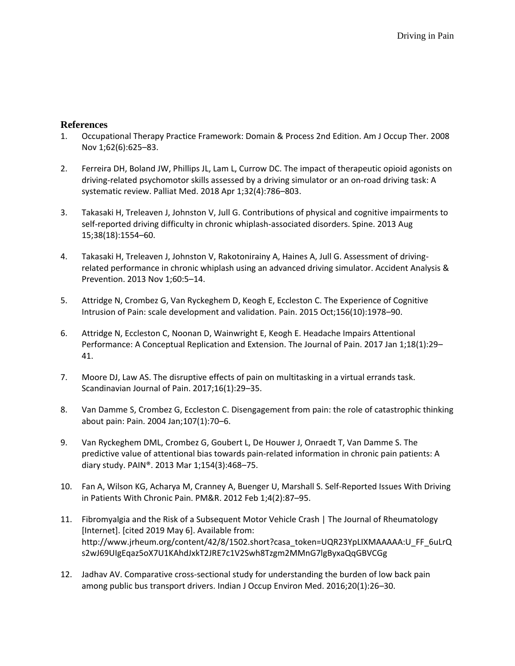## **References**

- 1. Occupational Therapy Practice Framework: Domain & Process 2nd Edition. Am J Occup Ther. 2008 Nov 1;62(6):625–83.
- 2. Ferreira DH, Boland JW, Phillips JL, Lam L, Currow DC. The impact of therapeutic opioid agonists on driving-related psychomotor skills assessed by a driving simulator or an on-road driving task: A systematic review. Palliat Med. 2018 Apr 1;32(4):786–803.
- 3. Takasaki H, Treleaven J, Johnston V, Jull G. Contributions of physical and cognitive impairments to self-reported driving difficulty in chronic whiplash-associated disorders. Spine. 2013 Aug 15;38(18):1554–60.
- 4. Takasaki H, Treleaven J, Johnston V, Rakotonirainy A, Haines A, Jull G. Assessment of drivingrelated performance in chronic whiplash using an advanced driving simulator. Accident Analysis & Prevention. 2013 Nov 1;60:5–14.
- 5. Attridge N, Crombez G, Van Ryckeghem D, Keogh E, Eccleston C. The Experience of Cognitive Intrusion of Pain: scale development and validation. Pain. 2015 Oct;156(10):1978–90.
- 6. Attridge N, Eccleston C, Noonan D, Wainwright E, Keogh E. Headache Impairs Attentional Performance: A Conceptual Replication and Extension. The Journal of Pain. 2017 Jan 1;18(1):29– 41.
- 7. Moore DJ, Law AS. The disruptive effects of pain on multitasking in a virtual errands task. Scandinavian Journal of Pain. 2017;16(1):29–35.
- 8. Van Damme S, Crombez G, Eccleston C. Disengagement from pain: the role of catastrophic thinking about pain: Pain. 2004 Jan;107(1):70–6.
- 9. Van Ryckeghem DML, Crombez G, Goubert L, De Houwer J, Onraedt T, Van Damme S. The predictive value of attentional bias towards pain-related information in chronic pain patients: A diary study. PAIN®. 2013 Mar 1;154(3):468–75.
- 10. Fan A, Wilson KG, Acharya M, Cranney A, Buenger U, Marshall S. Self-Reported Issues With Driving in Patients With Chronic Pain. PM&R. 2012 Feb 1;4(2):87–95.
- 11. Fibromyalgia and the Risk of a Subsequent Motor Vehicle Crash | The Journal of Rheumatology [Internet]. [cited 2019 May 6]. Available from: http://www.jrheum.org/content/42/8/1502.short?casa\_token=UQR23YpLIXMAAAAA:U\_FF\_6uLrQ s2wJ69UIgEqaz5oX7U1KAhdJxkT2JRE7c1V2Swh8Tzgm2MMnG7lgByxaQqGBVCGg
- 12. Jadhav AV. Comparative cross-sectional study for understanding the burden of low back pain among public bus transport drivers. Indian J Occup Environ Med. 2016;20(1):26–30.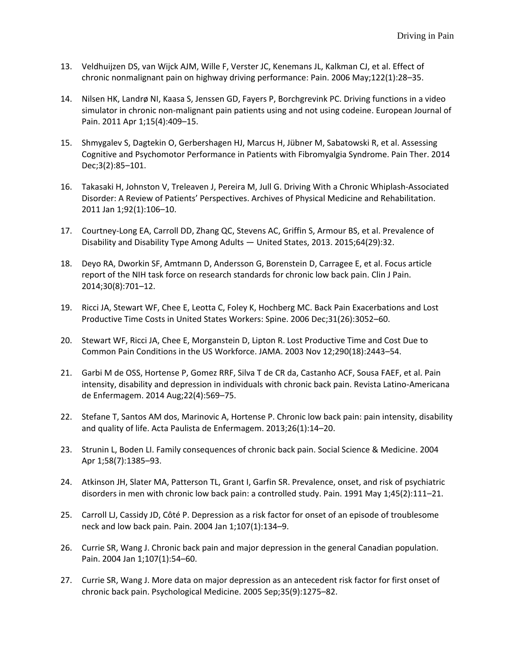- 13. Veldhuijzen DS, van Wijck AJM, Wille F, Verster JC, Kenemans JL, Kalkman CJ, et al. Effect of chronic nonmalignant pain on highway driving performance: Pain. 2006 May;122(1):28–35.
- 14. Nilsen HK, Landrø NI, Kaasa S, Jenssen GD, Fayers P, Borchgrevink PC. Driving functions in a video simulator in chronic non-malignant pain patients using and not using codeine. European Journal of Pain. 2011 Apr 1;15(4):409–15.
- 15. Shmygalev S, Dagtekin O, Gerbershagen HJ, Marcus H, Jübner M, Sabatowski R, et al. Assessing Cognitive and Psychomotor Performance in Patients with Fibromyalgia Syndrome. Pain Ther. 2014 Dec;3(2):85–101.
- 16. Takasaki H, Johnston V, Treleaven J, Pereira M, Jull G. Driving With a Chronic Whiplash-Associated Disorder: A Review of Patients' Perspectives. Archives of Physical Medicine and Rehabilitation. 2011 Jan 1;92(1):106–10.
- 17. Courtney-Long EA, Carroll DD, Zhang QC, Stevens AC, Griffin S, Armour BS, et al. Prevalence of Disability and Disability Type Among Adults — United States, 2013. 2015;64(29):32.
- 18. Deyo RA, Dworkin SF, Amtmann D, Andersson G, Borenstein D, Carragee E, et al. Focus article report of the NIH task force on research standards for chronic low back pain. Clin J Pain. 2014;30(8):701–12.
- 19. Ricci JA, Stewart WF, Chee E, Leotta C, Foley K, Hochberg MC. Back Pain Exacerbations and Lost Productive Time Costs in United States Workers: Spine. 2006 Dec;31(26):3052–60.
- 20. Stewart WF, Ricci JA, Chee E, Morganstein D, Lipton R. Lost Productive Time and Cost Due to Common Pain Conditions in the US Workforce. JAMA. 2003 Nov 12;290(18):2443–54.
- 21. Garbi M de OSS, Hortense P, Gomez RRF, Silva T de CR da, Castanho ACF, Sousa FAEF, et al. Pain intensity, disability and depression in individuals with chronic back pain. Revista Latino-Americana de Enfermagem. 2014 Aug;22(4):569–75.
- 22. Stefane T, Santos AM dos, Marinovic A, Hortense P. Chronic low back pain: pain intensity, disability and quality of life. Acta Paulista de Enfermagem. 2013;26(1):14–20.
- 23. Strunin L, Boden LI. Family consequences of chronic back pain. Social Science & Medicine. 2004 Apr 1;58(7):1385–93.
- 24. Atkinson JH, Slater MA, Patterson TL, Grant I, Garfin SR. Prevalence, onset, and risk of psychiatric disorders in men with chronic low back pain: a controlled study. Pain. 1991 May 1;45(2):111–21.
- 25. Carroll LJ, Cassidy JD, Côté P. Depression as a risk factor for onset of an episode of troublesome neck and low back pain. Pain. 2004 Jan 1;107(1):134–9.
- 26. Currie SR, Wang J. Chronic back pain and major depression in the general Canadian population. Pain. 2004 Jan 1;107(1):54–60.
- 27. Currie SR, Wang J. More data on major depression as an antecedent risk factor for first onset of chronic back pain. Psychological Medicine. 2005 Sep;35(9):1275–82.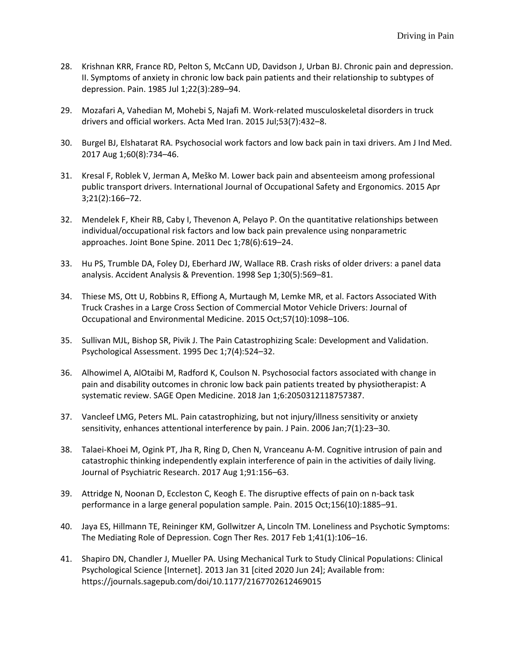- 28. Krishnan KRR, France RD, Pelton S, McCann UD, Davidson J, Urban BJ. Chronic pain and depression. II. Symptoms of anxiety in chronic low back pain patients and their relationship to subtypes of depression. Pain. 1985 Jul 1;22(3):289–94.
- 29. Mozafari A, Vahedian M, Mohebi S, Najafi M. Work-related musculoskeletal disorders in truck drivers and official workers. Acta Med Iran. 2015 Jul;53(7):432–8.
- 30. Burgel BJ, Elshatarat RA. Psychosocial work factors and low back pain in taxi drivers. Am J Ind Med. 2017 Aug 1;60(8):734–46.
- 31. Kresal F, Roblek V, Jerman A, Meško M. Lower back pain and absenteeism among professional public transport drivers. International Journal of Occupational Safety and Ergonomics. 2015 Apr 3;21(2):166–72.
- 32. Mendelek F, Kheir RB, Caby I, Thevenon A, Pelayo P. On the quantitative relationships between individual/occupational risk factors and low back pain prevalence using nonparametric approaches. Joint Bone Spine. 2011 Dec 1;78(6):619–24.
- 33. Hu PS, Trumble DA, Foley DJ, Eberhard JW, Wallace RB. Crash risks of older drivers: a panel data analysis. Accident Analysis & Prevention. 1998 Sep 1;30(5):569–81.
- 34. Thiese MS, Ott U, Robbins R, Effiong A, Murtaugh M, Lemke MR, et al. Factors Associated With Truck Crashes in a Large Cross Section of Commercial Motor Vehicle Drivers: Journal of Occupational and Environmental Medicine. 2015 Oct;57(10):1098–106.
- 35. Sullivan MJL, Bishop SR, Pivik J. The Pain Catastrophizing Scale: Development and Validation. Psychological Assessment. 1995 Dec 1;7(4):524–32.
- 36. Alhowimel A, AlOtaibi M, Radford K, Coulson N. Psychosocial factors associated with change in pain and disability outcomes in chronic low back pain patients treated by physiotherapist: A systematic review. SAGE Open Medicine. 2018 Jan 1;6:2050312118757387.
- 37. Vancleef LMG, Peters ML. Pain catastrophizing, but not injury/illness sensitivity or anxiety sensitivity, enhances attentional interference by pain. J Pain. 2006 Jan;7(1):23–30.
- 38. Talaei-Khoei M, Ogink PT, Jha R, Ring D, Chen N, Vranceanu A-M. Cognitive intrusion of pain and catastrophic thinking independently explain interference of pain in the activities of daily living. Journal of Psychiatric Research. 2017 Aug 1;91:156–63.
- 39. Attridge N, Noonan D, Eccleston C, Keogh E. The disruptive effects of pain on n-back task performance in a large general population sample. Pain. 2015 Oct;156(10):1885–91.
- 40. Jaya ES, Hillmann TE, Reininger KM, Gollwitzer A, Lincoln TM. Loneliness and Psychotic Symptoms: The Mediating Role of Depression. Cogn Ther Res. 2017 Feb 1;41(1):106–16.
- 41. Shapiro DN, Chandler J, Mueller PA. Using Mechanical Turk to Study Clinical Populations: Clinical Psychological Science [Internet]. 2013 Jan 31 [cited 2020 Jun 24]; Available from: https://journals.sagepub.com/doi/10.1177/2167702612469015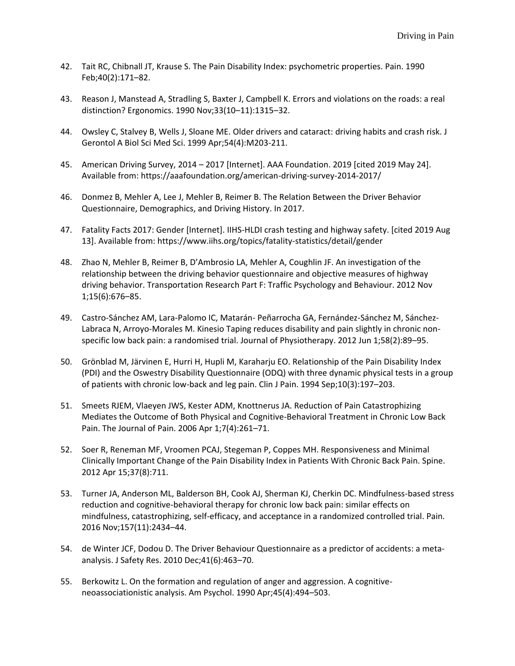- 42. Tait RC, Chibnall JT, Krause S. The Pain Disability Index: psychometric properties. Pain. 1990 Feb;40(2):171–82.
- 43. Reason J, Manstead A, Stradling S, Baxter J, Campbell K. Errors and violations on the roads: a real distinction? Ergonomics. 1990 Nov;33(10–11):1315–32.
- 44. Owsley C, Stalvey B, Wells J, Sloane ME. Older drivers and cataract: driving habits and crash risk. J Gerontol A Biol Sci Med Sci. 1999 Apr;54(4):M203-211.
- 45. American Driving Survey, 2014 2017 [Internet]. AAA Foundation. 2019 [cited 2019 May 24]. Available from: https://aaafoundation.org/american-driving-survey-2014-2017/
- 46. Donmez B, Mehler A, Lee J, Mehler B, Reimer B. The Relation Between the Driver Behavior Questionnaire, Demographics, and Driving History. In 2017.
- 47. Fatality Facts 2017: Gender [Internet]. IIHS-HLDI crash testing and highway safety. [cited 2019 Aug 13]. Available from: https://www.iihs.org/topics/fatality-statistics/detail/gender
- 48. Zhao N, Mehler B, Reimer B, D'Ambrosio LA, Mehler A, Coughlin JF. An investigation of the relationship between the driving behavior questionnaire and objective measures of highway driving behavior. Transportation Research Part F: Traffic Psychology and Behaviour. 2012 Nov 1;15(6):676–85.
- 49. Castro-Sánchez AM, Lara-Palomo IC, Matarán- Peñarrocha GA, Fernández-Sánchez M, Sánchez-Labraca N, Arroyo-Morales M. Kinesio Taping reduces disability and pain slightly in chronic nonspecific low back pain: a randomised trial. Journal of Physiotherapy. 2012 Jun 1;58(2):89–95.
- 50. Grönblad M, Järvinen E, Hurri H, Hupli M, Karaharju EO. Relationship of the Pain Disability Index (PDI) and the Oswestry Disability Questionnaire (ODQ) with three dynamic physical tests in a group of patients with chronic low-back and leg pain. Clin J Pain. 1994 Sep;10(3):197–203.
- 51. Smeets RJEM, Vlaeyen JWS, Kester ADM, Knottnerus JA. Reduction of Pain Catastrophizing Mediates the Outcome of Both Physical and Cognitive-Behavioral Treatment in Chronic Low Back Pain. The Journal of Pain. 2006 Apr 1;7(4):261–71.
- 52. Soer R, Reneman MF, Vroomen PCAJ, Stegeman P, Coppes MH. Responsiveness and Minimal Clinically Important Change of the Pain Disability Index in Patients With Chronic Back Pain. Spine. 2012 Apr 15;37(8):711.
- 53. Turner JA, Anderson ML, Balderson BH, Cook AJ, Sherman KJ, Cherkin DC. Mindfulness-based stress reduction and cognitive-behavioral therapy for chronic low back pain: similar effects on mindfulness, catastrophizing, self-efficacy, and acceptance in a randomized controlled trial. Pain. 2016 Nov;157(11):2434–44.
- 54. de Winter JCF, Dodou D. The Driver Behaviour Questionnaire as a predictor of accidents: a metaanalysis. J Safety Res. 2010 Dec;41(6):463–70.
- 55. Berkowitz L. On the formation and regulation of anger and aggression. A cognitiveneoassociationistic analysis. Am Psychol. 1990 Apr;45(4):494–503.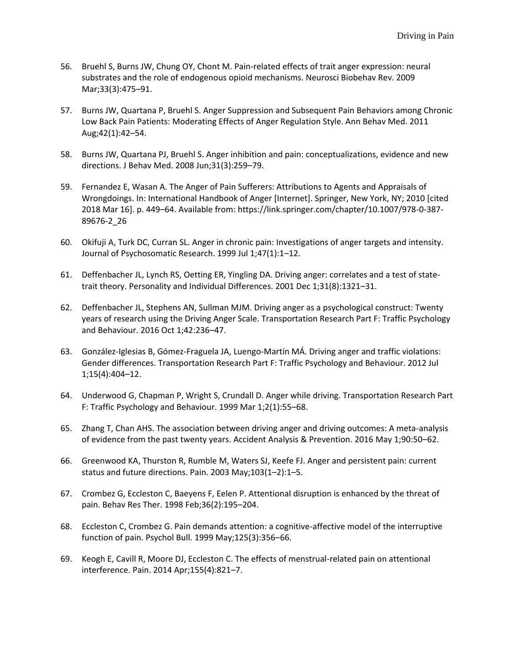- 56. Bruehl S, Burns JW, Chung OY, Chont M. Pain-related effects of trait anger expression: neural substrates and the role of endogenous opioid mechanisms. Neurosci Biobehav Rev. 2009 Mar;33(3):475–91.
- 57. Burns JW, Quartana P, Bruehl S. Anger Suppression and Subsequent Pain Behaviors among Chronic Low Back Pain Patients: Moderating Effects of Anger Regulation Style. Ann Behav Med. 2011 Aug;42(1):42–54.
- 58. Burns JW, Quartana PJ, Bruehl S. Anger inhibition and pain: conceptualizations, evidence and new directions. J Behav Med. 2008 Jun;31(3):259–79.
- 59. Fernandez E, Wasan A. The Anger of Pain Sufferers: Attributions to Agents and Appraisals of Wrongdoings. In: International Handbook of Anger [Internet]. Springer, New York, NY; 2010 [cited 2018 Mar 16]. p. 449–64. Available from: https://link.springer.com/chapter/10.1007/978-0-387- 89676-2\_26
- 60. Okifuji A, Turk DC, Curran SL. Anger in chronic pain: Investigations of anger targets and intensity. Journal of Psychosomatic Research. 1999 Jul 1;47(1):1–12.
- 61. Deffenbacher JL, Lynch RS, Oetting ER, Yingling DA. Driving anger: correlates and a test of statetrait theory. Personality and Individual Differences. 2001 Dec 1;31(8):1321–31.
- 62. Deffenbacher JL, Stephens AN, Sullman MJM. Driving anger as a psychological construct: Twenty years of research using the Driving Anger Scale. Transportation Research Part F: Traffic Psychology and Behaviour. 2016 Oct 1;42:236–47.
- 63. González-Iglesias B, Gómez-Fraguela JA, Luengo-Martín MÁ. Driving anger and traffic violations: Gender differences. Transportation Research Part F: Traffic Psychology and Behaviour. 2012 Jul 1;15(4):404–12.
- 64. Underwood G, Chapman P, Wright S, Crundall D. Anger while driving. Transportation Research Part F: Traffic Psychology and Behaviour. 1999 Mar 1;2(1):55–68.
- 65. Zhang T, Chan AHS. The association between driving anger and driving outcomes: A meta-analysis of evidence from the past twenty years. Accident Analysis & Prevention. 2016 May 1;90:50–62.
- 66. Greenwood KA, Thurston R, Rumble M, Waters SJ, Keefe FJ. Anger and persistent pain: current status and future directions. Pain. 2003 May;103(1–2):1–5.
- 67. Crombez G, Eccleston C, Baeyens F, Eelen P. Attentional disruption is enhanced by the threat of pain. Behav Res Ther. 1998 Feb;36(2):195–204.
- 68. Eccleston C, Crombez G. Pain demands attention: a cognitive-affective model of the interruptive function of pain. Psychol Bull. 1999 May;125(3):356–66.
- 69. Keogh E, Cavill R, Moore DJ, Eccleston C. The effects of menstrual-related pain on attentional interference. Pain. 2014 Apr;155(4):821–7.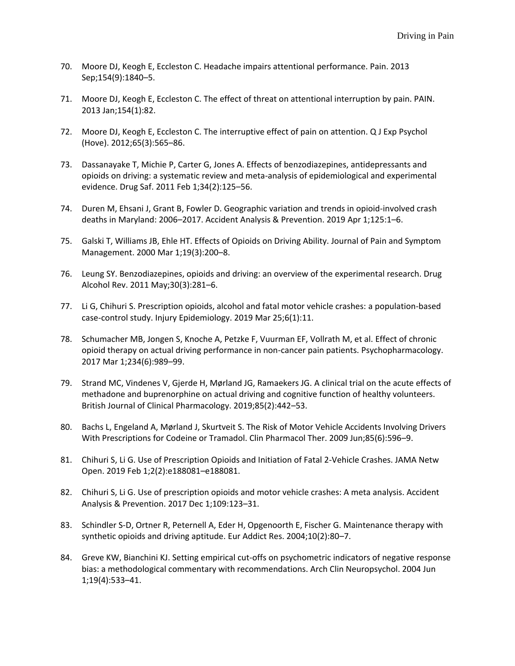- 70. Moore DJ, Keogh E, Eccleston C. Headache impairs attentional performance. Pain. 2013 Sep;154(9):1840–5.
- 71. Moore DJ, Keogh E, Eccleston C. The effect of threat on attentional interruption by pain. PAIN. 2013 Jan;154(1):82.
- 72. Moore DJ, Keogh E, Eccleston C. The interruptive effect of pain on attention. Q J Exp Psychol (Hove). 2012;65(3):565–86.
- 73. Dassanayake T, Michie P, Carter G, Jones A. Effects of benzodiazepines, antidepressants and opioids on driving: a systematic review and meta-analysis of epidemiological and experimental evidence. Drug Saf. 2011 Feb 1;34(2):125–56.
- 74. Duren M, Ehsani J, Grant B, Fowler D. Geographic variation and trends in opioid-involved crash deaths in Maryland: 2006–2017. Accident Analysis & Prevention. 2019 Apr 1;125:1–6.
- 75. Galski T, Williams JB, Ehle HT. Effects of Opioids on Driving Ability. Journal of Pain and Symptom Management. 2000 Mar 1;19(3):200–8.
- 76. Leung SY. Benzodiazepines, opioids and driving: an overview of the experimental research. Drug Alcohol Rev. 2011 May;30(3):281–6.
- 77. Li G, Chihuri S. Prescription opioids, alcohol and fatal motor vehicle crashes: a population-based case-control study. Injury Epidemiology. 2019 Mar 25;6(1):11.
- 78. Schumacher MB, Jongen S, Knoche A, Petzke F, Vuurman EF, Vollrath M, et al. Effect of chronic opioid therapy on actual driving performance in non-cancer pain patients. Psychopharmacology. 2017 Mar 1;234(6):989–99.
- 79. Strand MC, Vindenes V, Gjerde H, Mørland JG, Ramaekers JG. A clinical trial on the acute effects of methadone and buprenorphine on actual driving and cognitive function of healthy volunteers. British Journal of Clinical Pharmacology. 2019;85(2):442–53.
- 80. Bachs L, Engeland A, Mørland J, Skurtveit S. The Risk of Motor Vehicle Accidents Involving Drivers With Prescriptions for Codeine or Tramadol. Clin Pharmacol Ther. 2009 Jun;85(6):596–9.
- 81. Chihuri S, Li G. Use of Prescription Opioids and Initiation of Fatal 2-Vehicle Crashes. JAMA Netw Open. 2019 Feb 1;2(2):e188081–e188081.
- 82. Chihuri S, Li G. Use of prescription opioids and motor vehicle crashes: A meta analysis. Accident Analysis & Prevention. 2017 Dec 1;109:123–31.
- 83. Schindler S-D, Ortner R, Peternell A, Eder H, Opgenoorth E, Fischer G. Maintenance therapy with synthetic opioids and driving aptitude. Eur Addict Res. 2004;10(2):80–7.
- 84. Greve KW, Bianchini KJ. Setting empirical cut-offs on psychometric indicators of negative response bias: a methodological commentary with recommendations. Arch Clin Neuropsychol. 2004 Jun 1;19(4):533–41.